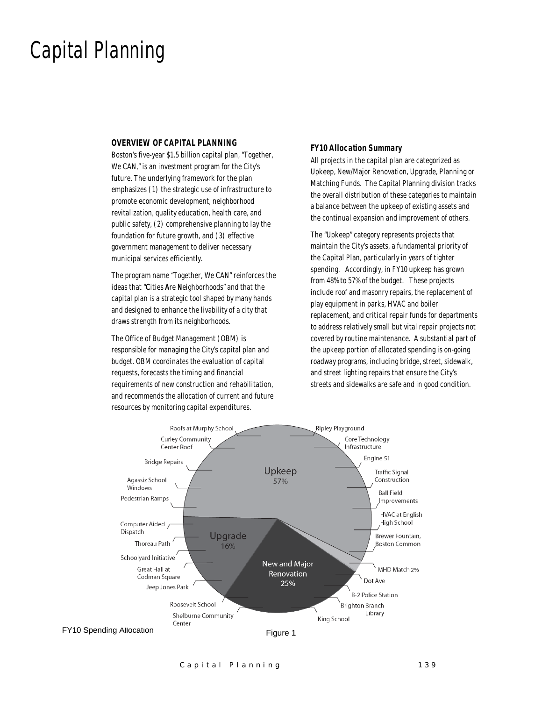### Capital Planning

#### *OVERVIEW OF CAPITAL PLANNING*

Boston's five-year \$1.5 billion capital plan, "Together, We CAN," is an investment program for the City's future. The underlying framework for the plan emphasizes (1) the strategic use of infrastructure to promote economic development, neighborhood revitalization, quality education, health care, and public safety, (2) comprehensive planning to lay the foundation for future growth, and (3) effective government management to deliver necessary municipal services efficiently.

The program name "Together, We CAN" reinforces the ideas that "Cities Are Neighborhoods" and that the capital plan is a strategic tool shaped by many hands and designed to enhance the livability of a city that draws strength from its neighborhoods.

The Office of Budget Management (OBM) is responsible for managing the City's capital plan and budget. OBM coordinates the evaluation of capital requests, forecasts the timing and financial requirements of new construction and rehabilitation, and recommends the allocation of current and future resources by monitoring capital expenditures.

#### *FY10 Allocation Summary*

All projects in the capital plan are categorized as Upkeep, New/Major Renovation, Upgrade, Planning or Matching Funds. The Capital Planning division tracks the overall distribution of these categories to maintain a balance between the upkeep of existing assets and the continual expansion and improvement of others.

The "Upkeep" category represents projects that maintain the City's assets, a fundamental priority of the Capital Plan, particularly in years of tighter spending. Accordingly, in FY10 upkeep has grown from 48% to 57% of the budget. These projects include roof and masonry repairs, the replacement of play equipment in parks, HVAC and boiler replacement, and critical repair funds for departments to address relatively small but vital repair projects not covered by routine maintenance. A substantial part of the upkeep portion of allocated spending is on-going roadway programs, including bridge, street, sidewalk, and street lighting repairs that ensure the City's streets and sidewalks are safe and in good condition.



Capital Planning 139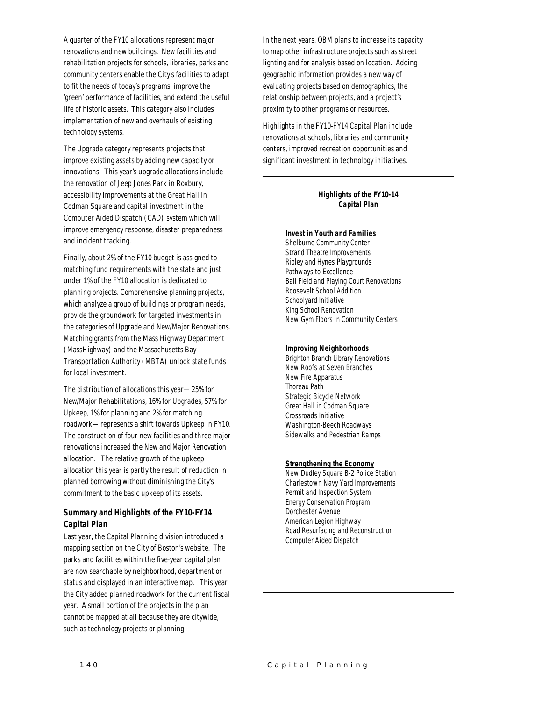A quarter of the FY10 allocations represent major renovations and new buildings. New facilities and rehabilitation projects for schools, libraries, parks and community centers enable the City's facilities to adapt to fit the needs of today's programs, improve the 'green' performance of facilities, and extend the useful life of historic assets. This category also includes implementation of new and overhauls of existing technology systems.

The Upgrade category represents projects that improve existing assets by adding new capacity or innovations. This year's upgrade allocations include the renovation of Jeep Jones Park in Roxbury, accessibility improvements at the Great Hall in Codman Square and capital investment in the Computer Aided Dispatch (CAD) system which will improve emergency response, disaster preparedness and incident tracking.

Finally, about 2% of the FY10 budget is assigned to matching fund requirements with the state and just under 1% of the FY10 allocation is dedicated to planning projects. Comprehensive planning projects, which analyze a group of buildings or program needs, provide the groundwork for targeted investments in the categories of Upgrade and New/Major Renovations. Matching grants from the Mass Highway Department (MassHighway) and the Massachusetts Bay Transportation Authority (MBTA) unlock state funds for local investment.

The distribution of allocations this year—25% for New/Major Rehabilitations, 16% for Upgrades, 57% for Upkeep, 1% for planning and 2% for matching roadwork—represents a shift towards Upkeep in FY10. The construction of four new facilities and three major renovations increased the New and Major Renovation allocation. The relative growth of the upkeep allocation this year is partly the result of reduction in planned borrowing without diminishing the City's commitment to the basic upkeep of its assets.

#### *Summary and Highlights of the FY10-FY14 Capital Plan*

Last year, the Capital Planning division introduced a mapping section on the City of Boston's website. The parks and facilities within the five-year capital plan are now searchable by neighborhood, department or status and displayed in an interactive map. This year the City added planned roadwork for the current fiscal year. A small portion of the projects in the plan cannot be mapped at all because they are citywide, such as technology projects or planning.

In the next years, OBM plans to increase its capacity to map other infrastructure projects such as street lighting and for analysis based on location. Adding geographic information provides a new way of evaluating projects based on demographics, the relationship between projects, and a project's proximity to other programs or resources.

Highlights in the FY10-FY14 Capital Plan include renovations at schools, libraries and community centers, improved recreation opportunities and significant investment in technology initiatives.

#### *Highlights of the FY10-14 Capital Plan*

#### *Invest in Youth and Families*

Shelburne Community Center Strand Theatre Improvements Ripley and Hynes Playgrounds Pathways to Excellence Ball Field and Playing Court Renovations Roosevelt School Addition Schoolyard Initiative King School Renovation New Gym Floors in Community Centers

#### *Improving Neighborhoods*

Brighton Branch Library Renovations New Roofs at Seven Branches New Fire Apparatus Thoreau Path Strategic Bicycle Network Great Hall in Codman Square Crossroads Initiative Washington-Beech Roadways Sidewalks and Pedestrian Ramps

#### *Strengthening the Economy*

New Dudley Square B-2 Police Station Charlestown Navy Yard Improvements Permit and Inspection System Energy Conservation Program Dorchester Avenue American Legion Highway Road Resurfacing and Reconstruction Computer Aided Dispatch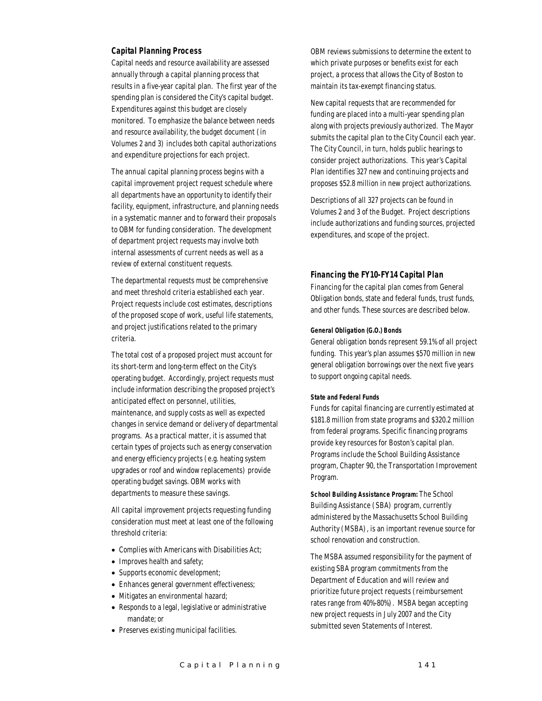#### *Capital Planning Process*

Capital needs and resource availability are assessed annually through a capital planning process that results in a five-year capital plan. The first year of the spending plan is considered the City's capital budget. Expenditures against this budget are closely monitored. To emphasize the balance between needs and resource availability, the budget document (in Volumes 2 and 3) includes both capital authorizations and expenditure projections for each project.

The annual capital planning process begins with a capital improvement project request schedule where all departments have an opportunity to identify their facility, equipment, infrastructure, and planning needs in a systematic manner and to forward their proposals to OBM for funding consideration. The development of department project requests may involve both internal assessments of current needs as well as a review of external constituent requests.

The departmental requests must be comprehensive and meet threshold criteria established each year. Project requests include cost estimates, descriptions of the proposed scope of work, useful life statements, and project justifications related to the primary criteria.

The total cost of a proposed project must account for its short-term and long-term effect on the City's operating budget. Accordingly, project requests must include information describing the proposed project's anticipated effect on personnel, utilities, maintenance, and supply costs as well as expected changes in service demand or delivery of departmental programs. As a practical matter, it is assumed that certain types of projects such as energy conservation and energy efficiency projects (e.g. heating system upgrades or roof and window replacements) provide operating budget savings. OBM works with departments to measure these savings.

All capital improvement projects requesting funding consideration must meet at least one of the following threshold criteria:

- Complies with Americans with Disabilities Act;
- Improves health and safety;
- Supports economic development;
- Enhances general government effectiveness;
- Mitigates an environmental hazard;
- Responds to a legal, legislative or administrative mandate; or
- Preserves existing municipal facilities.

OBM reviews submissions to determine the extent to which private purposes or benefits exist for each project, a process that allows the City of Boston to maintain its tax-exempt financing status.

New capital requests that are recommended for funding are placed into a multi-year spending plan along with projects previously authorized. The Mayor submits the capital plan to the City Council each year. The City Council, in turn, holds public hearings to consider project authorizations. This year's Capital Plan identifies 327 new and continuing projects and proposes \$52.8 million in new project authorizations.

Descriptions of all 327 projects can be found in Volumes 2 and 3 of the Budget. Project descriptions include authorizations and funding sources, projected expenditures, and scope of the project.

#### *Financing the FY10-FY14 Capital Plan*

Financing for the capital plan comes from General Obligation bonds, state and federal funds, trust funds, and other funds. These sources are described below.

#### *General Obligation (G.O.) Bonds*

General obligation bonds represent 59.1% of all project funding. This year's plan assumes \$570 million in new general obligation borrowings over the next five years to support ongoing capital needs.

#### *State and Federal Funds*

Funds for capital financing are currently estimated at \$181.8 million from state programs and \$320.2 million from federal programs. Specific financing programs provide key resources for Boston's capital plan. Programs include the School Building Assistance program, Chapter 90, the Transportation Improvement Program.

*School Building Assistance Program:* The School Building Assistance (SBA) program, currently administered by the Massachusetts School Building Authority (MSBA), is an important revenue source for school renovation and construction.

The MSBA assumed responsibility for the payment of existing SBA program commitments from the Department of Education and will review and prioritize future project requests (reimbursement rates range from 40%-80%). MSBA began accepting new project requests in July 2007 and the City submitted seven Statements of Interest.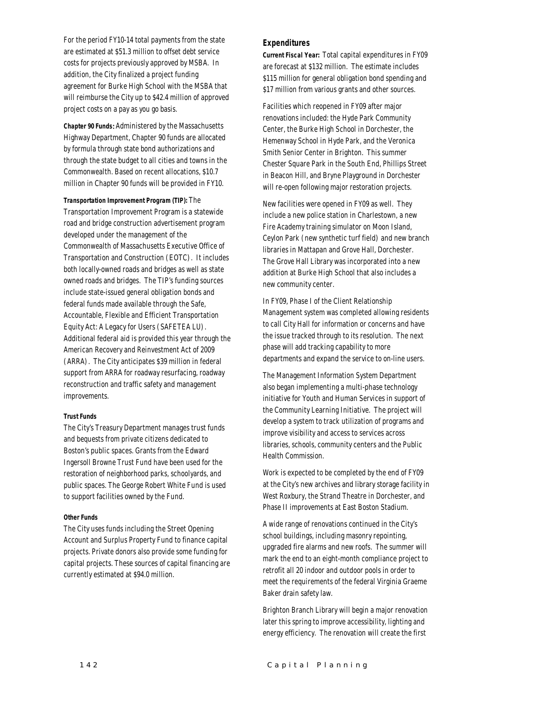For the period FY10-14 total payments from the state are estimated at \$51.3 million to offset debt service costs for projects previously approved by MSBA. In addition, the City finalized a project funding agreement for Burke High School with the MSBA that will reimburse the City up to \$42.4 million of approved project costs on a pay as you go basis.

*Chapter 90 Funds*: Administered by the Massachusetts Highway Department, Chapter 90 funds are allocated by formula through state bond authorizations and through the state budget to all cities and towns in the Commonwealth. Based on recent allocations, \$10.7 million in Chapter 90 funds will be provided in FY10.

*Transportation Improvement Program (TIP):* The

Transportation Improvement Program is a statewide road and bridge construction advertisement program developed under the management of the Commonwealth of Massachusetts Executive Office of Transportation and Construction (EOTC). It includes both locally-owned roads and bridges as well as state owned roads and bridges. The TIP's funding sources include state-issued general obligation bonds and federal funds made available through the Safe, Accountable, Flexible and Efficient Transportation Equity Act: A Legacy for Users (SAFETEA LU). Additional federal aid is provided this year through the American Recovery and Reinvestment Act of 2009 (ARRA). The City anticipates \$39 million in federal support from ARRA for roadway resurfacing, roadway reconstruction and traffic safety and management improvements.

#### *Trust Funds*

The City's Treasury Department manages trust funds and bequests from private citizens dedicated to Boston's public spaces. Grants from the Edward Ingersoll Browne Trust Fund have been used for the restoration of neighborhood parks, schoolyards, and public spaces. The George Robert White Fund is used to support facilities owned by the Fund.

#### *Other Funds*

The City uses funds including the Street Opening Account and Surplus Property Fund to finance capital projects. Private donors also provide some funding for capital projects. These sources of capital financing are currently estimated at \$94.0 million.

#### *Expenditures*

*Current Fiscal Year:* Total capital expenditures in FY09 are forecast at \$132 million. The estimate includes \$115 million for general obligation bond spending and \$17 million from various grants and other sources.

Facilities which reopened in FY09 after major renovations included: the Hyde Park Community Center, the Burke High School in Dorchester, the Hemenway School in Hyde Park, and the Veronica Smith Senior Center in Brighton. This summer Chester Square Park in the South End, Phillips Street in Beacon Hill, and Bryne Playground in Dorchester will re-open following major restoration projects.

New facilities were opened in FY09 as well. They include a new police station in Charlestown, a new Fire Academy training simulator on Moon Island, Ceylon Park (new synthetic turf field) and new branch libraries in Mattapan and Grove Hall, Dorchester. The Grove Hall Library was incorporated into a new addition at Burke High School that also includes a new community center.

In FY09, Phase I of the Client Relationship Management system was completed allowing residents to call City Hall for information or concerns and have the issue tracked through to its resolution. The next phase will add tracking capability to more departments and expand the service to on-line users.

The Management Information System Department also began implementing a multi-phase technology initiative for Youth and Human Services in support of the Community Learning Initiative. The project will develop a system to track utilization of programs and improve visibility and access to services across libraries, schools, community centers and the Public Health Commission.

Work is expected to be completed by the end of FY09 at the City's new archives and library storage facility in West Roxbury, the Strand Theatre in Dorchester, and Phase II improvements at East Boston Stadium.

A wide range of renovations continued in the City's school buildings, including masonry repointing, upgraded fire alarms and new roofs. The summer will mark the end to an eight-month compliance project to retrofit all 20 indoor and outdoor pools in order to meet the requirements of the federal Virginia Graeme Baker drain safety law.

Brighton Branch Library will begin a major renovation later this spring to improve accessibility, lighting and energy efficiency. The renovation will create the first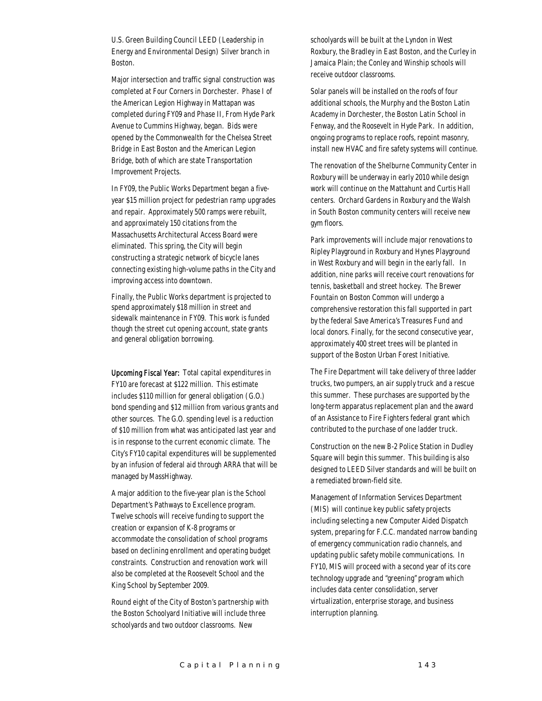U.S. Green Building Council LEED (Leadership in Energy and Environmental Design) Silver branch in Boston.

Major intersection and traffic signal construction was completed at Four Corners in Dorchester. Phase I of the American Legion Highway in Mattapan was completed during FY09 and Phase II, From Hyde Park Avenue to Cummins Highway, began. Bids were opened by the Commonwealth for the Chelsea Street Bridge in East Boston and the American Legion Bridge, both of which are state Transportation Improvement Projects.

In FY09, the Public Works Department began a fiveyear \$15 million project for pedestrian ramp upgrades and repair. Approximately 500 ramps were rebuilt, and approximately 150 citations from the Massachusetts Architectural Access Board were eliminated. This spring, the City will begin constructing a strategic network of bicycle lanes connecting existing high-volume paths in the City and improving access into downtown.

Finally, the Public Works department is projected to spend approximately \$18 million in street and sidewalk maintenance in FY09. This work is funded though the street cut opening account, state grants and general obligation borrowing.

Upcoming Fiscal Year: Total capital expenditures in FY10 are forecast at \$122 million. This estimate includes \$110 million for general obligation (G.O.) bond spending and \$12 million from various grants and other sources. The G.O. spending level is a reduction of \$10 million from what was anticipated last year and is in response to the current economic climate. The City's FY10 capital expenditures will be supplemented by an infusion of federal aid through ARRA that will be managed by MassHighway.

A major addition to the five-year plan is the School Department's Pathways to Excellence program. Twelve schools will receive funding to support the creation or expansion of K-8 programs or accommodate the consolidation of school programs based on declining enrollment and operating budget constraints. Construction and renovation work will also be completed at the Roosevelt School and the King School by September 2009.

Round eight of the City of Boston's partnership with the Boston Schoolyard Initiative will include three schoolyards and two outdoor classrooms. New

schoolyards will be built at the Lyndon in West Roxbury, the Bradley in East Boston, and the Curley in Jamaica Plain; the Conley and Winship schools will receive outdoor classrooms.

Solar panels will be installed on the roofs of four additional schools, the Murphy and the Boston Latin Academy in Dorchester, the Boston Latin School in Fenway, and the Roosevelt in Hyde Park. In addition, ongoing programs to replace roofs, repoint masonry, install new HVAC and fire safety systems will continue.

The renovation of the Shelburne Community Center in Roxbury will be underway in early 2010 while design work will continue on the Mattahunt and Curtis Hall centers. Orchard Gardens in Roxbury and the Walsh in South Boston community centers will receive new gym floors.

Park improvements will include major renovations to Ripley Playground in Roxbury and Hynes Playground in West Roxbury and will begin in the early fall. In addition, nine parks will receive court renovations for tennis, basketball and street hockey. The Brewer Fountain on Boston Common will undergo a comprehensive restoration this fall supported in part by the federal Save America's Treasures Fund and local donors. Finally, for the second consecutive year, approximately 400 street trees will be planted in support of the Boston Urban Forest Initiative.

The Fire Department will take delivery of three ladder trucks, two pumpers, an air supply truck and a rescue this summer. These purchases are supported by the long-term apparatus replacement plan and the award of an Assistance to Fire Fighters federal grant which contributed to the purchase of one ladder truck.

Construction on the new B-2 Police Station in Dudley Square will begin this summer. This building is also designed to LEED Silver standards and will be built on a remediated brown-field site.

Management of Information Services Department (MIS) will continue key public safety projects including selecting a new Computer Aided Dispatch system, preparing for F.C.C. mandated narrow banding of emergency communication radio channels, and updating public safety mobile communications. In FY10, MIS will proceed with a second year of its core technology upgrade and "greening" program which includes data center consolidation, server virtualization, enterprise storage, and business interruption planning.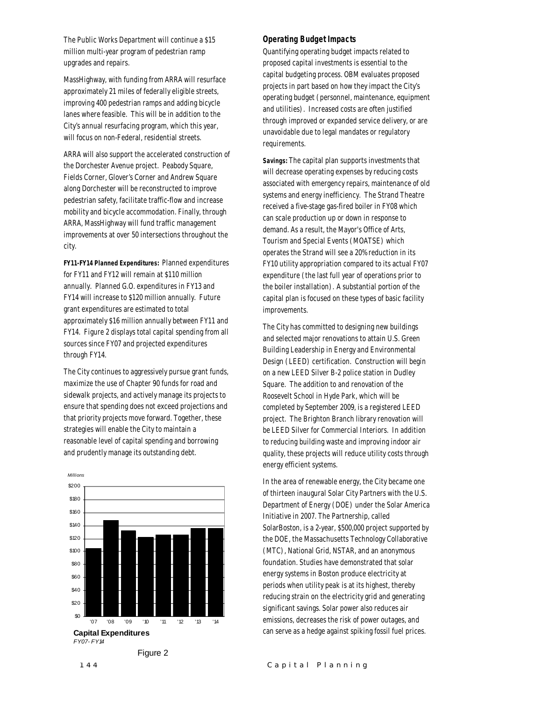The Public Works Department will continue a \$15 million multi-year program of pedestrian ramp upgrades and repairs.

MassHighway, with funding from ARRA will resurface approximately 21 miles of federally eligible streets, improving 400 pedestrian ramps and adding bicycle lanes where feasible. This will be in addition to the City's annual resurfacing program, which this year, will focus on non-Federal, residential streets.

ARRA will also support the accelerated construction of the Dorchester Avenue project. Peabody Square, Fields Corner, Glover's Corner and Andrew Square along Dorchester will be reconstructed to improve pedestrian safety, facilitate traffic-flow and increase mobility and bicycle accommodation. Finally, through ARRA, MassHighway will fund traffic management improvements at over 50 intersections throughout the city.

*FY11-FY14 Planned Expenditures:* Planned expenditures for FY11 and FY12 will remain at \$110 million annually. Planned G.O. expenditures in FY13 and FY14 will increase to \$120 million annually. Future grant expenditures are estimated to total approximately \$16 million annually between FY11 and FY14. Figure 2 displays total capital spending from all sources since FY07 and projected expenditures through FY14.

The City continues to aggressively pursue grant funds, maximize the use of Chapter 90 funds for road and sidewalk projects, and actively manage its projects to ensure that spending does not exceed projections and that priority projects move forward. Together, these strategies will enable the City to maintain a reasonable level of capital spending and borrowing and prudently manage its outstanding debt.



Figure 2

#### *Operating Budget Impacts*

Quantifying operating budget impacts related to proposed capital investments is essential to the capital budgeting process. OBM evaluates proposed projects in part based on how they impact the City's operating budget (personnel, maintenance, equipment and utilities). Increased costs are often justified through improved or expanded service delivery, or are unavoidable due to legal mandates or regulatory requirements.

*Savings:* The capital plan supports investments that will decrease operating expenses by reducing costs associated with emergency repairs, maintenance of old systems and energy inefficiency. The Strand Theatre received a five-stage gas-fired boiler in FY08 which can scale production up or down in response to demand. As a result, the Mayor's Office of Arts, Tourism and Special Events (MOATSE) which operates the Strand will see a 20% reduction in its FY10 utility appropriation compared to its actual FY07 expenditure (the last full year of operations prior to the boiler installation). A substantial portion of the capital plan is focused on these types of basic facility improvements.

The City has committed to designing new buildings and selected major renovations to attain U.S. Green Building Leadership in Energy and Environmental Design (LEED) certification. Construction will begin on a new LEED Silver B-2 police station in Dudley Square. The addition to and renovation of the Roosevelt School in Hyde Park, which will be completed by September 2009, is a registered LEED project. The Brighton Branch library renovation will be LEED Silver for Commercial Interiors. In addition to reducing building waste and improving indoor air quality, these projects will reduce utility costs through energy efficient systems.

In the area of renewable energy, the City became one of thirteen inaugural Solar City Partners with the U.S. Department of Energy (DOE) under the Solar America Initiative in 2007. The Partnership, called SolarBoston, is a 2-year, \$500,000 project supported by the DOE, the Massachusetts Technology Collaborative (MTC), National Grid, NSTAR, and an anonymous foundation. Studies have demonstrated that solar energy systems in Boston produce electricity at periods when utility peak is at its highest, thereby reducing strain on the electricity grid and generating significant savings. Solar power also reduces air emissions, decreases the risk of power outages, and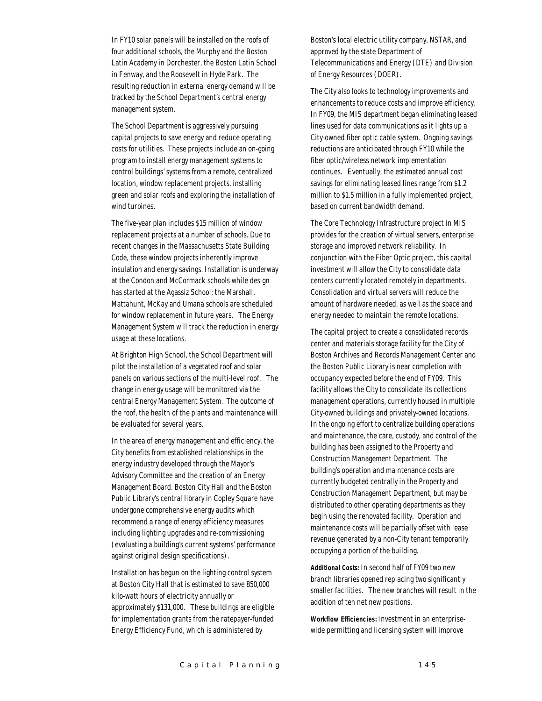In FY10 solar panels will be installed on the roofs of four additional schools, the Murphy and the Boston Latin Academy in Dorchester, the Boston Latin School in Fenway, and the Roosevelt in Hyde Park. The resulting reduction in external energy demand will be tracked by the School Department's central energy management system.

The School Department is aggressively pursuing capital projects to save energy and reduce operating costs for utilities. These projects include an on-going program to install energy management systems to control buildings' systems from a remote, centralized location, window replacement projects, installing green and solar roofs and exploring the installation of wind turbines.

The five-year plan includes \$15 million of window replacement projects at a number of schools. Due to recent changes in the Massachusetts State Building Code, these window projects inherently improve insulation and energy savings. Installation is underway at the Condon and McCormack schools while design has started at the Agassiz School; the Marshall, Mattahunt, McKay and Umana schools are scheduled for window replacement in future years. The Energy Management System will track the reduction in energy usage at these locations.

At Brighton High School, the School Department will pilot the installation of a vegetated roof and solar panels on various sections of the multi-level roof. The change in energy usage will be monitored via the central Energy Management System. The outcome of the roof, the health of the plants and maintenance will be evaluated for several years.

In the area of energy management and efficiency, the City benefits from established relationships in the energy industry developed through the Mayor's Advisory Committee and the creation of an Energy Management Board. Boston City Hall and the Boston Public Library's central library in Copley Square have undergone comprehensive energy audits which recommend a range of energy efficiency measures including lighting upgrades and re-commissioning (evaluating a building's current systems' performance against original design specifications).

Installation has begun on the lighting control system at Boston City Hall that is estimated to save 850,000 kilo-watt hours of electricity annually or approximately \$131,000. These buildings are eligible for implementation grants from the ratepayer-funded Energy Efficiency Fund, which is administered by

Boston's local electric utility company, NSTAR, and approved by the state Department of Telecommunications and Energy (DTE) and Division of Energy Resources (DOER).

The City also looks to technology improvements and enhancements to reduce costs and improve efficiency. In FY09, the MIS department began eliminating leased lines used for data communications as it lights up a City-owned fiber optic cable system. Ongoing savings reductions are anticipated through FY10 while the fiber optic/wireless network implementation continues. Eventually, the estimated annual cost savings for eliminating leased lines range from \$1.2 million to \$1.5 million in a fully implemented project, based on current bandwidth demand.

The Core Technology Infrastructure project in MIS provides for the creation of virtual servers, enterprise storage and improved network reliability. In conjunction with the Fiber Optic project, this capital investment will allow the City to consolidate data centers currently located remotely in departments. Consolidation and virtual servers will reduce the amount of hardware needed, as well as the space and energy needed to maintain the remote locations.

The capital project to create a consolidated records center and materials storage facility for the City of Boston Archives and Records Management Center and the Boston Public Library is near completion with occupancy expected before the end of FY09. This facility allows the City to consolidate its collections management operations, currently housed in multiple City-owned buildings and privately-owned locations. In the ongoing effort to centralize building operations and maintenance, the care, custody, and control of the building has been assigned to the Property and Construction Management Department. The building's operation and maintenance costs are currently budgeted centrally in the Property and Construction Management Department, but may be distributed to other operating departments as they begin using the renovated facility. Operation and maintenance costs will be partially offset with lease revenue generated by a non-City tenant temporarily occupying a portion of the building.

*Additional Costs:* In second half of FY09 two new branch libraries opened replacing two significantly smaller facilities. The new branches will result in the addition of ten net new positions.

*Workflow Efficiencies:* Investment in an enterprisewide permitting and licensing system will improve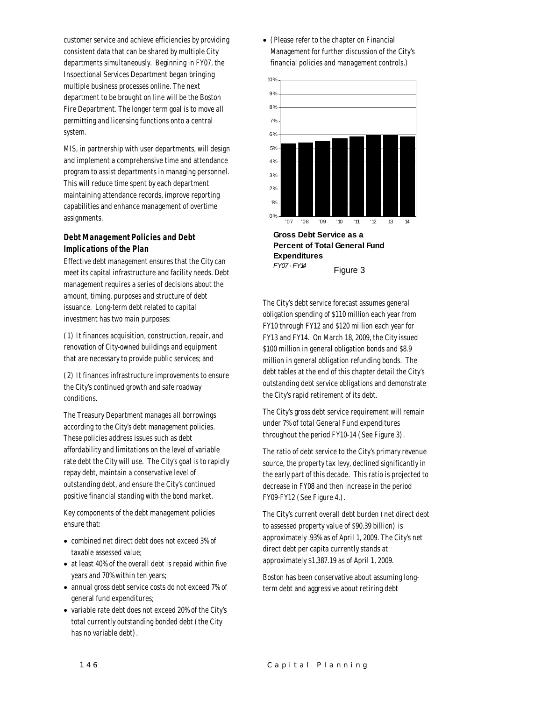customer service and achieve efficiencies by providing consistent data that can be shared by multiple City departments simultaneously. Beginning in FY07, the Inspectional Services Department began bringing multiple business processes online. The next department to be brought on line will be the Boston Fire Department. The longer term goal is to move all permitting and licensing functions onto a central system.

MIS, in partnership with user departments, will design and implement a comprehensive time and attendance program to assist departments in managing personnel. This will reduce time spent by each department maintaining attendance records, improve reporting capabilities and enhance management of overtime assignments.

#### *Debt Management Policies and Debt Implications of the Plan*

Effective debt management ensures that the City can meet its capital infrastructure and facility needs. Debt management requires a series of decisions about the amount, timing, purposes and structure of debt issuance. Long-term debt related to capital investment has two main purposes:

(1) It finances acquisition, construction, repair, and renovation of City-owned buildings and equipment that are necessary to provide public services; and

(2) It finances infrastructure improvements to ensure the City's continued growth and safe roadway conditions.

The Treasury Department manages all borrowings according to the City's debt management policies. These policies address issues such as debt affordability and limitations on the level of variable rate debt the City will use. The City's goal is to rapidly repay debt, maintain a conservative level of outstanding debt, and ensure the City's continued positive financial standing with the bond market.

Key components of the debt management policies ensure that:

- combined net direct debt does not exceed 3% of taxable assessed value;
- at least 40% of the overall debt is repaid within five years and 70% within ten years;
- annual gross debt service costs do not exceed 7% of general fund expenditures;
- variable rate debt does not exceed 20% of the City's total currently outstanding bonded debt (the City has no variable debt).

• (Please refer to the chapter on Financial Management for further discussion of the City's financial policies and management controls.)



*FY07 - FY14* Figure 3

The City's debt service forecast assumes general obligation spending of \$110 million each year from FY10 through FY12 and \$120 million each year for FY13 and FY14. On March 18, 2009, the City issued \$100 million in general obligation bonds and \$8.9 million in general obligation refunding bonds. The debt tables at the end of this chapter detail the City's outstanding debt service obligations and demonstrate the City's rapid retirement of its debt.

The City's gross debt service requirement will remain under 7% of total General Fund expenditures throughout the period FY10-14 (See Figure 3).

The ratio of debt service to the City's primary revenue source, the property tax levy, declined significantly in the early part of this decade. This ratio is projected to decrease in FY08 and then increase in the period FY09-FY12 (See Figure 4.).

The City's current overall debt burden (net direct debt to assessed property value of \$90.39 billion) is approximately .93% as of April 1, 2009. The City's net direct debt per capita currently stands at approximately \$1,387.19 as of April 1, 2009.

Boston has been conservative about assuming longterm debt and aggressive about retiring debt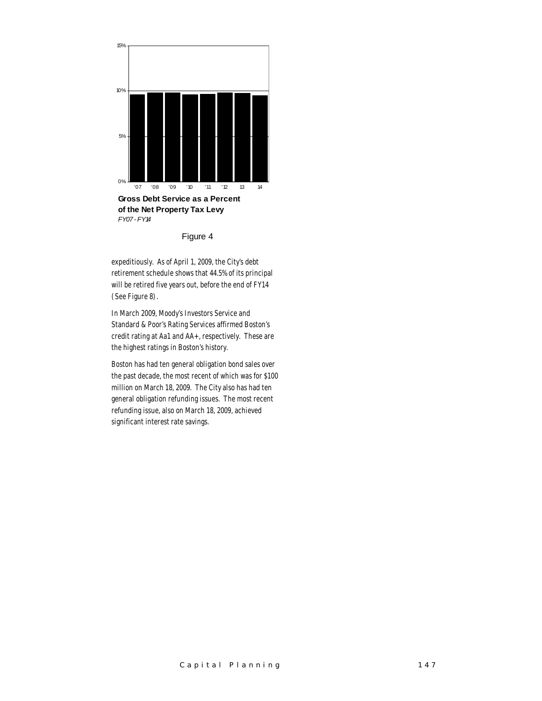

Figure 4

expeditiously. As of April 1, 2009, the City's debt retirement schedule shows that 44.5% of its principal will be retired five years out, before the end of FY14 (See Figure 8).

In March 2009, Moody's Investors Service and Standard & Poor's Rating Services affirmed Boston's credit rating at Aa1 and AA+, respectively. These are the highest ratings in Boston's history.

Boston has had ten general obligation bond sales over the past decade, the most recent of which was for \$100 million on March 18, 2009. The City also has had ten general obligation refunding issues. The most recent refunding issue, also on March 18, 2009, achieved significant interest rate savings.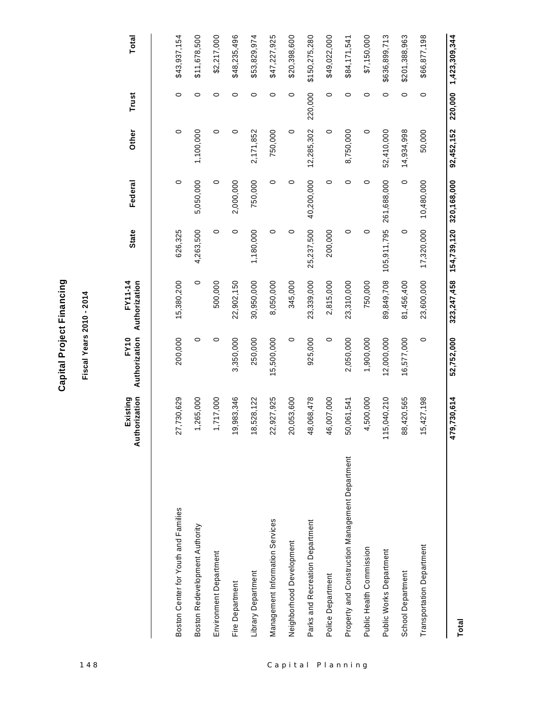| ٢<br>٠. |
|---------|
| L       |
|         |
| ₫.      |
|         |
| ž       |
| ć       |
|         |
| í.      |
| ı       |
|         |
| י<br>י  |
|         |

# **Fiscal Years 2010 - 2014**

| 148              |                                                 |                           | Fiscal Years 2010 - 2014     |                                 |              |               |            |         |               |
|------------------|-------------------------------------------------|---------------------------|------------------------------|---------------------------------|--------------|---------------|------------|---------|---------------|
|                  |                                                 | Authorization<br>Existing | Authorization<br><b>FY10</b> | Authorization<br><b>FY11-14</b> | <b>State</b> | Federal       | Other      | Trust   | <b>Total</b>  |
|                  | Boston Center for Youth and Families            | 730,629<br>27             | 200,000                      | 15,380,200                      | 626,325      | $\circ$       | $\circ$    | $\circ$ | \$43,937,154  |
|                  | Boston Redevelopment Authority                  | ,265,000                  | $\circ$                      | $\circ$                         | 4,263,500    | 5,050,000     | 1,100,000  | $\circ$ | \$11,678,500  |
|                  | Environment Department                          | ,717,000                  | 0                            | 500,000                         | $\circ$      | 0             | $\circ$    | $\circ$ | \$2,217,000   |
|                  | Fire Department                                 | ,983,346<br>င္            | 3,350,000                    | 22,902,150                      | $\circ$      | 2,000,000     | $\circ$    | $\circ$ | \$48,235,496  |
|                  | Library Department                              | 18,528,122                | 250,000                      | 30,950,000                      | 1,180,000    | 750,000       | 2,171,852  | $\circ$ | \$53,829,974  |
|                  | Management Information Services                 | 22,927,925                | 15,500,000                   | 8,050,000                       | 0            | 0             | 750,000    | $\circ$ | \$47,227,925  |
|                  | Neighborhood Development                        | 20,053,600                | $\circ$                      | 345,000                         | $\circ$      | 0             | $\circ$    | $\circ$ | \$20,398,600  |
|                  | Parks and Recreation Department                 | 48,068,478                | 925,000                      | 23,339,000                      | 25,237,500   | 40,200,000    | 12,285,302 | 220,000 | \$150,275,280 |
|                  | Police Department                               | 46,007,000                | $\circ$                      | 2,815,000                       | 200,000      | $\circ$       | $\circ$    | $\circ$ | \$49,022,000  |
| Capital Planning | Property and Construction Management Department | 50,061,541                | 2,050,000                    | 23,310,000                      | $\circ$      | $\circ$       | 8,750,000  | 0       | \$84,171,541  |
|                  | Public Health Commission                        | ,500,000                  | 1,900,000                    | 750,000                         | $\circ$      | 0             | $\circ$    | 0       | \$7,150,000   |
|                  | Public Works Department                         | 115,040,210               | 12,000,000                   | 89,849,708                      | 105,911,795  | 261,688,000   | 52,410,000 | $\circ$ | \$636,899,713 |
|                  | School Department                               | 88,420,565                | 16,577,000                   | 81,456,400                      | $\circ$      | $\circ$       | 14,934,998 | $\circ$ | \$201,388,963 |
|                  | <b>Transportation Department</b>                | 15,427,198                | 0                            | 23,600,000                      | 17,320,000   | 10,480,000    | 50,000     | $\circ$ | \$66,877,198  |
|                  |                                                 | 1,730,614<br>479          | 52,752,000                   | 323,247,458                     | 154,739,120  | 320, 168, 000 | 92,452,152 | 220,000 | 1,423,309,344 |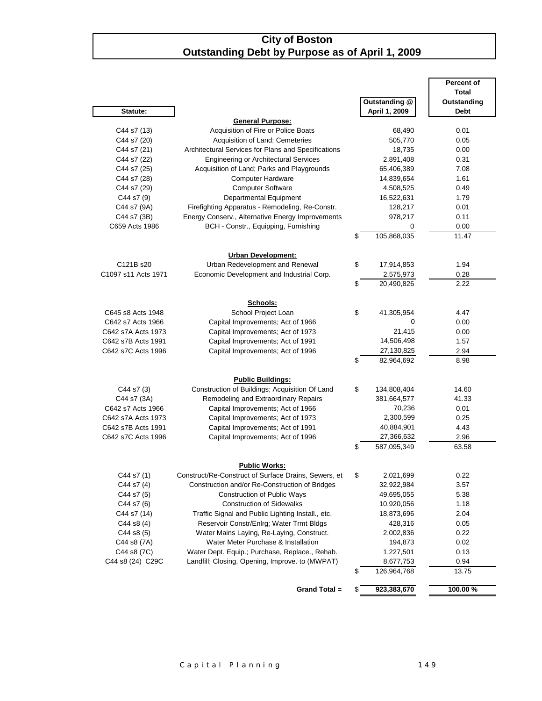#### **City of Boston Outstanding Debt by Purpose as of April 1, 2009**

|                     |                                                                |                                 | <b>Percent of</b> |
|---------------------|----------------------------------------------------------------|---------------------------------|-------------------|
|                     |                                                                |                                 | <b>Total</b>      |
|                     |                                                                | <b>Outstanding @</b>            | Outstanding       |
| Statute:            |                                                                | April 1, 2009                   | <b>Debt</b>       |
| C44 s7 (13)         | <b>General Purpose:</b><br>Acquisition of Fire or Police Boats | 68,490                          | 0.01              |
| C44 s7 (20)         | Acquisition of Land; Cemeteries                                | 505,770                         | 0.05              |
| C44 s7 (21)         | Architectural Services for Plans and Specifications            | 18,735                          | 0.00              |
| C44 s7 (22)         | <b>Engineering or Architectural Services</b>                   | 2,891,408                       | 0.31              |
| C44 s7 (25)         | Acquisition of Land; Parks and Playgrounds                     | 65,406,389                      | 7.08              |
| C44 s7 (28)         | Computer Hardware                                              | 14,839,654                      | 1.61              |
| C44 s7 (29)         | <b>Computer Software</b>                                       | 4,508,525                       | 0.49              |
| C44 s7 (9)          | Departmental Equipment                                         | 16,522,631                      | 1.79              |
| C44 s7 (9A)         | Firefighting Apparatus - Remodeling, Re-Constr.                | 128,217                         | 0.01              |
| C44 s7 (3B)         | Energy Conserv., Alternative Energy Improvements               | 978,217                         | 0.11              |
| C659 Acts 1986      | BCH - Constr., Equipping, Furnishing                           | 0                               | 0.00              |
|                     |                                                                | \$<br>105,868,035               | 11.47             |
|                     |                                                                |                                 |                   |
|                     | <b>Urban Development:</b>                                      |                                 |                   |
| C121B s20           | Urban Redevelopment and Renewal                                | \$<br>17,914,853                | 1.94              |
| C1097 s11 Acts 1971 | Economic Development and Industrial Corp.                      | 2,575,973                       | 0.28              |
|                     |                                                                | \$<br>20,490,826                | 2.22              |
|                     |                                                                |                                 |                   |
|                     | Schools:                                                       |                                 |                   |
| C645 s8 Acts 1948   | School Project Loan                                            | \$<br>41,305,954                | 4.47              |
| C642 s7 Acts 1966   | Capital Improvements; Act of 1966                              | 0                               | 0.00              |
| C642 s7A Acts 1973  | Capital Improvements; Act of 1973                              | 21,415                          | 0.00              |
| C642 s7B Acts 1991  | Capital Improvements; Act of 1991                              | 14,506,498                      | 1.57              |
| C642 s7C Acts 1996  | Capital Improvements; Act of 1996                              | 27,130,825                      | 2.94              |
|                     |                                                                | \$<br>82,964,692                | 8.98              |
|                     |                                                                |                                 |                   |
|                     | <b>Public Buildings:</b>                                       |                                 |                   |
| C44 s7 (3)          | Construction of Buildings; Acquisition Of Land                 | \$<br>134,808,404               | 14.60             |
| C44 s7 (3A)         | Remodeling and Extraordinary Repairs                           | 381,664,577                     | 41.33             |
| C642 s7 Acts 1966   | Capital Improvements; Act of 1966                              | 70,236                          | 0.01              |
| C642 s7A Acts 1973  | Capital Improvements; Act of 1973                              | 2,300,599                       | 0.25              |
| C642 s7B Acts 1991  | Capital Improvements; Act of 1991                              | 40,884,901                      | 4.43              |
| C642 s7C Acts 1996  | Capital Improvements; Act of 1996                              | \$<br>27,366,632<br>587,095,349 | 2.96<br>63.58     |
|                     |                                                                |                                 |                   |
|                     | <b>Public Works:</b>                                           |                                 |                   |
| C44 s7 (1)          | Construct/Re-Construct of Surface Drains, Sewers, et           | 2,021,699                       | 0.22              |
| C44 s7 (4)          | Construction and/or Re-Construction of Bridges                 | 32,922,984                      | 3.57              |
| C44 s7 (5)          | <b>Construction of Public Ways</b>                             | 49,695,055                      | 5.38              |
| C44 s7 (6)          | <b>Construction of Sidewalks</b>                               | 10,920,056                      | 1.18              |
| C44 s7 (14)         | Traffic Signal and Public Lighting Install., etc.              | 18,873,696                      | 2.04              |
| C44 s8 (4)          | Reservoir Constr/Enlrg; Water Trmt Bldgs                       | 428,316                         | 0.05              |
| C44 s8 (5)          | Water Mains Laying, Re-Laying, Construct.                      | 2,002,836                       | 0.22              |
| C44 s8 (7A)         | Water Meter Purchase & Installation                            | 194,873                         | 0.02              |
| C44 s8 (7C)         | Water Dept. Equip.; Purchase, Replace., Rehab.                 | 1,227,501                       | 0.13              |
| C44 s8 (24) C29C    | Landfill; Closing, Opening, Improve. to (MWPAT)                | 8,677,753                       | 0.94              |
|                     |                                                                | \$<br>126,964,768               | 13.75             |
|                     |                                                                |                                 |                   |
|                     | Grand Total =                                                  | \$<br>923,383,670               | 100.00%           |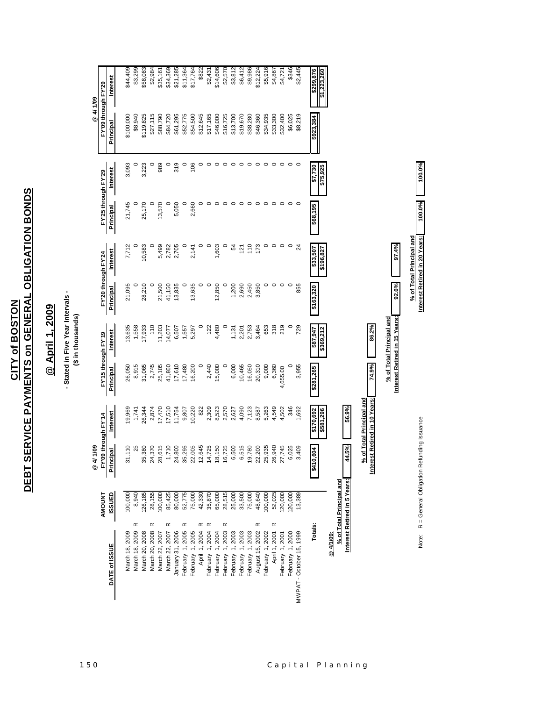DEBT SERVICE PAYMENTS on GENERAL OBLIGATION BONDS **DEBT SERVICE PAYMENTS on GENERAL OBLIGATION BONDS CITY of BOSTON CITY of BOSTON**

## @ April 1, 2009 **@ April 1, 2009**

## - Stated in Five Year Intervals -<br>(\$ in thousands) **- Stated in Five Year Intervals -**

## **(\$ in thousands)**

|                               |                              | 1/09<br>ৰ<br>®                                  |                               |                   |                               |                     |                                                           |                     |                     | @ 4/ 1/09           |                          |
|-------------------------------|------------------------------|-------------------------------------------------|-------------------------------|-------------------|-------------------------------|---------------------|-----------------------------------------------------------|---------------------|---------------------|---------------------|--------------------------|
|                               | <b>TNUONN</b>                | FY'09 through FY'14                             |                               | FY15 through FY19 |                               | FY'20 through FY'24 |                                                           | FY'25 through FY'29 |                     | FY'09 through FY'29 |                          |
| DATE of ISSUE                 | <b>ISSUED</b>                | Principal                                       | <b>Interest</b>               | Principal         | Interest                      | Principal           | Interest                                                  | Principal           | <b>Interest</b>     | Principal           | Interest                 |
| March 18, 2009                | 100,000                      | 31,110                                          | 19,969                        | 26,050            | 13,635                        | 21,095              | 7,712                                                     | 21,745              | 3,093               | \$100,000           | \$44,409                 |
| ∝<br>March 18, 2009           | 8,940                        | 25                                              | 1,741                         | 8,915             | 1,558                         |                     |                                                           |                     | $\circ$             | \$8,940             | \$3,299                  |
| March 20, 2008                | 126,185                      | 35,380                                          | 26,344                        | 31,065            | 17,933                        | 28,210              | 10,583                                                    | 25,170              | 3,223               | \$119,825           | \$58,083                 |
| œ<br>March 20, 2008           | 28,155                       | 24,370                                          | 2,874                         | 2,745             | 110                           |                     |                                                           |                     | 0                   | \$27,115            | \$2,984                  |
| March 22, 2007                | 100,000                      | 28,615                                          | 17,470                        | 25,105            | 11,203                        | 21,500              | 5,499                                                     | 13,570              | 989                 | \$88,790            | \$35,161                 |
| œ<br>March 22, 2007           | 85,425                       | 1,710                                           | 17,510                        | 41,860            | 14,077                        | 41,150              | 2,782                                                     |                     | $\circ$             | \$84,720            | \$34,369                 |
| January 31, 2006              | 80,000                       | 24,800                                          | 11,754                        | 17,610            | 6,507                         | 13,835              | 2,705                                                     | 5,050               | 319                 | \$61,295            | \$21,285                 |
| ∝<br>February 1, 2005         | 52,775                       | 35,295                                          | 9,807                         | 17,480            |                               |                     |                                                           |                     | $\circ$             | \$52,775            | \$11,364                 |
| February 1, 2005              | 75,000                       | 22,005                                          | 10,220                        | 16,200            | 1,557<br>5,297                | 13,635              | 2,141                                                     | 2,660               | 106                 | \$54,500            | \$17,764                 |
| œ<br>April 1, 2004            | 42,330                       | 12,645                                          | 822                           | $\circ$           |                               | $\circ$             |                                                           |                     | 0                   | \$12,645            | \$822                    |
| $\propto$<br>February 1, 2004 | 35,870                       | 14,725                                          | 2,309                         | 2,440             | 122                           | $\circ$             | $\circ$                                                   | 0                   |                     | \$17,165            | \$2,431                  |
| February 1, 2004              | 65,000                       | 8,150                                           | 8,523                         | 15,000            | 4,480                         | 12,850              | 1,603                                                     | $\circ$             |                     | \$46,000            | \$14,606                 |
| ∝<br>February 1, 2003         | 28,515                       | 6,725                                           | 2,570                         | $\circ$           |                               |                     | $\circ$                                                   | $\circ$             |                     | \$16,725            | \$2,570                  |
| February 1, 2003              | 25,000                       | 6,500                                           | 2,627                         | 6,000             | 1,131                         | 1,200               | 54                                                        | $\circ$             | $\circ$             | \$13,700            | \$3,812                  |
| February 1, 2003              | 33,500                       | 6,515                                           | 4,090                         | 10,465            | 2,201                         | 2,690               | 121                                                       | $\circ$             | $\circ$             | \$19,670            | \$6,412                  |
| February 1, 2003              | 75,000                       | 19,780                                          | 7,123                         | 16,050            | 2,753                         | 2,450               | 110                                                       | $\circ$             | $\circ$             | \$38,280            | \$9,986                  |
| ∝<br>August 15, 2002          | 48,640                       | 22,200                                          | 8,587                         | 20,310            | 3,464                         | 3,850               | 173                                                       | $\circ$             | $\circ$             | \$46,360            | \$12,224                 |
| February 1, 2002              | 100,000                      | 25,935                                          | 5,263                         | 9,000             | 653                           | $\circ$             | 0                                                         | $\circ$             | $\circ$             | \$34,935            | \$5,916                  |
| ∝<br>April 1, 2001            | 52,025                       | 26,940<br>27,745                                | 4,549                         | 6,360             | 318                           | $\circ$             | $\circ$                                                   | $\circ$             | $\circ$             | \$33,300            | \$4,867                  |
| February 1, 2001              | 120,000                      |                                                 | 4,502                         | 4,655.00          | 219                           | $\circ$             | $\circ$                                                   | $\circ$             | $\circ$             | \$32,400            | \$4,721                  |
| February 1, 2000              | 20,000                       | 6,025                                           | 346                           |                   |                               |                     | $\circ$                                                   | $\circ$             | $\circ$             | \$6,025             | \$346                    |
| MWPAT - October 15, 1999      | 13,389                       | 3,409                                           | 1,692                         | 3,955             | 729                           | 855                 |                                                           | $\circ$             |                     | \$8,219             | \$2,445                  |
|                               |                              |                                                 |                               |                   |                               |                     |                                                           |                     |                     |                     |                          |
| Totals                        |                              | <u>le</u><br>\$410                              | \$170,692<br>\$581,296        | \$281,265         | \$369,212<br>\$87,947         | \$163,320           | \$33,507<br>\$196,827                                     | \$68,195            | \$75,925<br>\$7,730 | \$923,384           | \$299,876<br>\$1,223,260 |
| @ 4/1/09:                     |                              |                                                 |                               |                   |                               |                     |                                                           |                     |                     |                     |                          |
|                               | % of Total Principal and     |                                                 |                               |                   |                               |                     |                                                           |                     |                     |                     |                          |
|                               | Interest Retired in 5 Years: | 14.5%                                           | 56.9%                         |                   |                               |                     |                                                           |                     |                     |                     |                          |
|                               |                              |                                                 |                               |                   |                               |                     |                                                           |                     |                     |                     |                          |
|                               |                              |                                                 | % of Total Principal and      |                   |                               |                     |                                                           |                     |                     |                     |                          |
|                               |                              |                                                 | Interest Retired in 10 Years: | 74.9%             | 86.2%                         |                     |                                                           |                     |                     |                     |                          |
|                               |                              |                                                 |                               |                   | % of Total Principal and      |                     |                                                           |                     |                     |                     |                          |
|                               |                              |                                                 |                               |                   | Interest Retired in 15 Years: | 92.6%               | 97.4%                                                     |                     |                     |                     |                          |
|                               |                              | Note: R = General Obligation Refunding Issuance |                               |                   |                               |                     | Interest Retired in 20 Years:<br>% of Total Principal and | 100.0%              | 100.0%              |                     |                          |
|                               |                              |                                                 |                               |                   |                               |                     |                                                           |                     |                     |                     |                          |